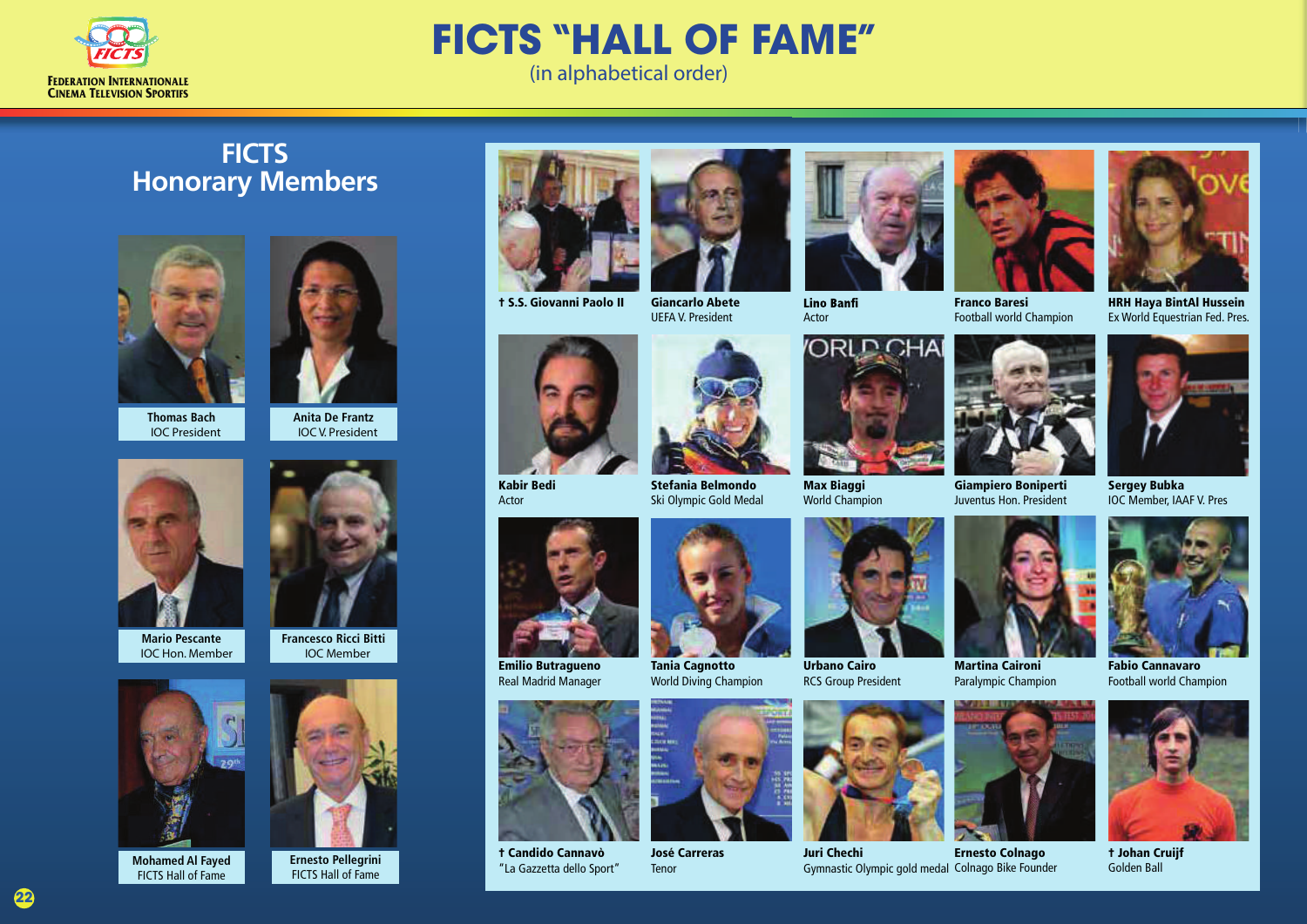

## **FICTS "HALL OF FAME"**

(in alphabetical order)

## **FICTS Honorary Members**





IOC V. President

**Thomas Bach** IOC President





**Francesco Ricci Bitti**  IOC Member

**Mario Pescante** IOC Hon. Member



**Mohamed Al Fayed** FICTS Hall of Fame

**22**



**Ernesto Pellegrini** FICTS Hall of Fame



† S.S. Giovanni Paolo II

Giancarlo Abete UEFA V. President



Kabir Bedi Actor



Ski Olympic Gold Medal



Emilio Butragueno Real Madrid Manager



† Candido Cannavò "La Gazzetta dello Sport"



World Diving Champion



José Carreras Tenor



**Lino Banfi** Actor



World Champion



Urbano Cairo RCS Group President



Juri Chechi Gymnastic Olympic gold medal Colnago Bike Founder Ernesto Colnago

Paralympic Champion

Juventus Hon. President

Football world Champion



HRH Haya BintAl Hussein Ex World Equestrian Fed. Pres.



Sergey Bubka IOC Member, IAAF V. Pres



Fabio Cannavaro Football world Champion



† Johan Cruijf Golden Ball





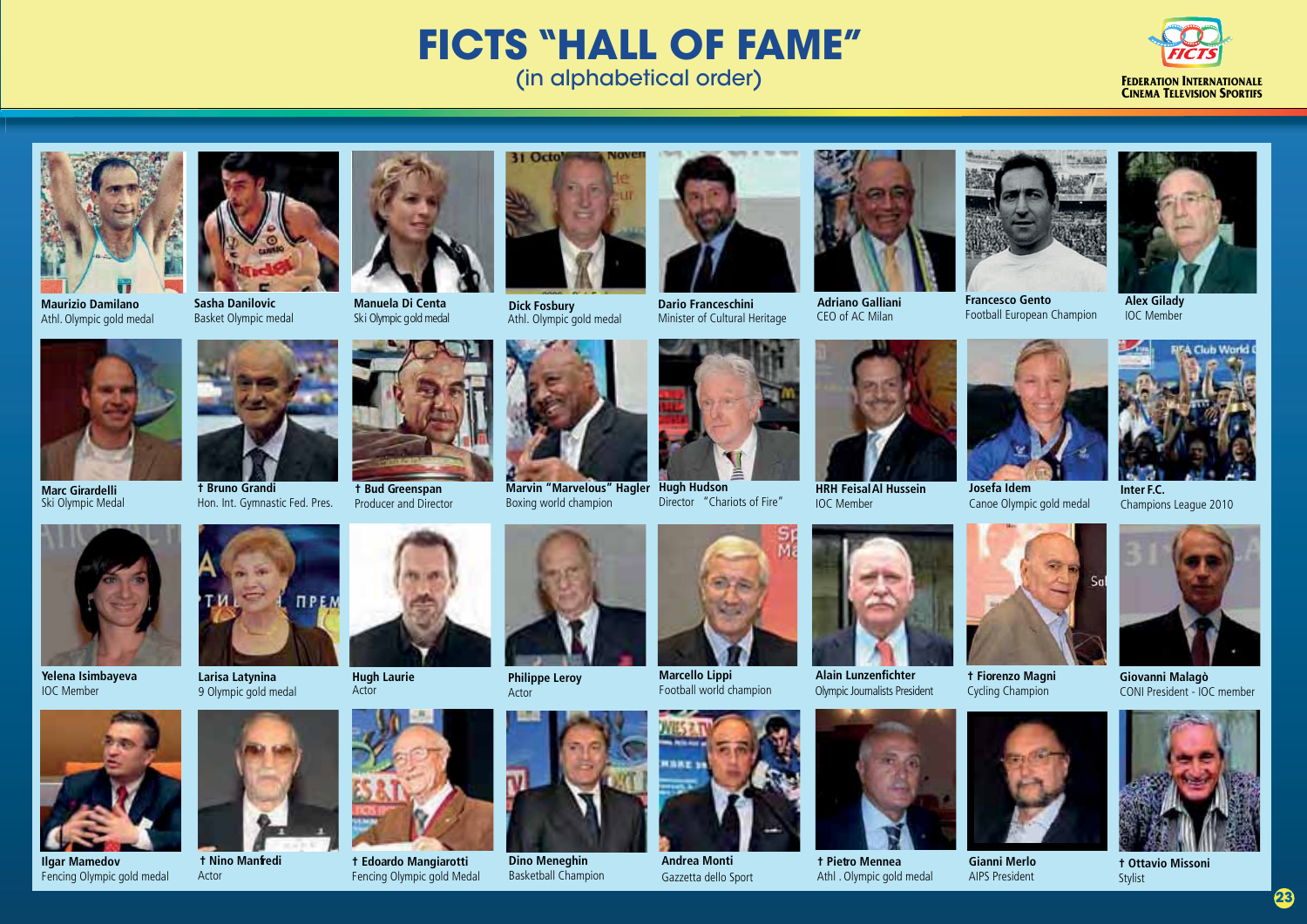## **FICTS "HALL OF FAME"** (in alphabetical order)





**Maurizio Damilano**



Basket Olympic medal

**† Bruno Grandi**

 **† Nino Manfredi**

Actor









**† Edoardo Mangiarotti** Fencing Olympic gold Medal

Hon. Int. Gymnastic Fed. Pres. **† Bud Greenspan** Producer and Director

> **Hugh Laurie** Actor



31 Octo

**Marvin "Marvelous" Hagler** Boxing world champion





**Hugh Hudson** Director "Chariots of Fire"



**Adriano Galliani** CEO of AC Milan



Football European Champion





Canoe Olympic gold medal

**Inter F.C.**  Champions League 2010



**Marc Girardelli** Ski Olympic Medal

**Yelena Isimbayeva**  IOC Member



**Ilgar Mamedov** Fencing Olympic gold medal



**Larisa Latynina** 9 Olympic gold medal



Actor



**Philippe Leroy**



**Marcello Lippi**



**Dino Meneghin Andrea Monti**<br>Basketball Champion **Andrea Monti** Gazzetta dello Sport



**HRH Feisal Al Hussein** IOC Member

Olympic Journalists President



**† Pietro Mennea** Athl . Olympic gold medal



**Josefa Idem** 

**† Fiorenzo Magni**  Cycling Champion

**Gianni Merlo** AIPS President





**† Ottavio Missoni** Stylist





**23**